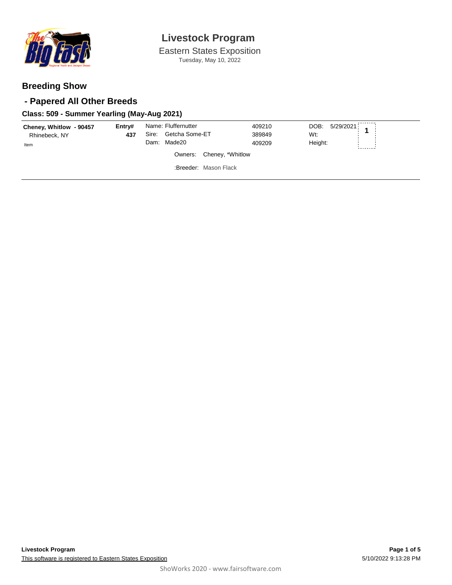

Eastern States Exposition Tuesday, May 10, 2022

### **Breeding Show**

### **- Papered All Other Breeds**

#### **Class: 509 - Summer Yearling (May-Aug 2021)**

| Cheney, Whitlow - 90457<br>Rhinebeck, NY<br>Item | Entrv#<br>437 | Name: Fluffernutter<br>Sire: Getcha Some-ET<br>Dam: Made20 | 409210<br>389849<br>409209 | DOB: 5/29/2021<br>$\overline{A}$<br>Wt:<br>Height: |
|--------------------------------------------------|---------------|------------------------------------------------------------|----------------------------|----------------------------------------------------|
|                                                  |               |                                                            | Owners: Cheney, *Whitlow   |                                                    |
|                                                  |               |                                                            | :Breeder: Mason Flack      |                                                    |
|                                                  |               |                                                            |                            |                                                    |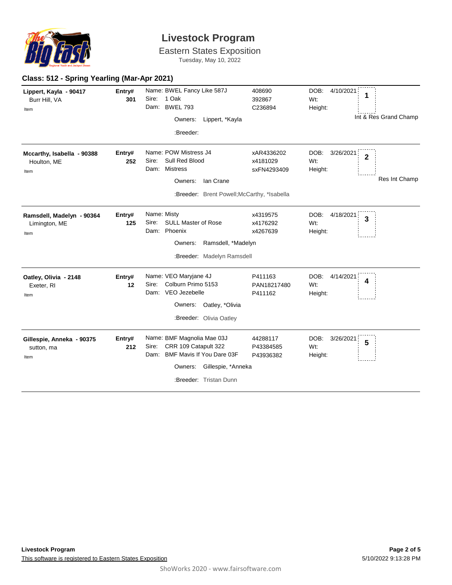

Eastern States Exposition

Tuesday, May 10, 2022

| Class: 512 - Spring Yearling (Mar-Apr 2021)        |               |                                                                                                                                                          |                                       |                                                                        |
|----------------------------------------------------|---------------|----------------------------------------------------------------------------------------------------------------------------------------------------------|---------------------------------------|------------------------------------------------------------------------|
| Lippert, Kayla - 90417<br>Burr Hill, VA<br>Item    | Entry#<br>301 | Name: BWEL Fancy Like 587J<br>Sire: 1 Oak<br>Dam: BWEL 793<br>Lippert, *Kayla<br>Owners:<br>:Breeder:                                                    | 408690<br>392867<br>C236894           | DOB:<br>4/10/2021<br>1<br>Wt:<br>Height:<br>Int & Res Grand Champ      |
| Mccarthy, Isabella - 90388<br>Houlton, ME<br>Item  | Entry#<br>252 | Name: POW Mistress J4<br>Sull Red Blood<br>Sire:<br>Dam: Mistress<br><b>Ian Crane</b><br>Owners:<br>:Breeder: Brent Powell; McCarthy, *Isabella          | xAR4336202<br>x4181029<br>sxFN4293409 | DOB:<br>3/26/2021<br>$\overline{2}$<br>Wt:<br>Height:<br>Res Int Champ |
| Ramsdell, Madelyn - 90364<br>Limington, ME<br>Item | Entry#<br>125 | Name: Misty<br><b>SULL Master of Rose</b><br>Sire:<br>Dam: Phoenix<br>Ramsdell, *Madelyn<br>Owners:<br>:Breeder: Madelyn Ramsdell                        | x4319575<br>x4176292<br>x4267639      | DOB:<br>4/18/2021<br>3<br>Wt:<br>Height:                               |
| Oatley, Olivia - 2148<br>Exeter, RI<br>Item        | Entry#<br>12  | Name: VEO Maryjane 4J<br>Colburn Primo 5153<br>Sire:<br>Dam: VEO Jezebelle<br>Owners: Oatley, *Olivia<br>:Breeder: Olivia Oatley                         | P411163<br>PAN18217480<br>P411162     | DOB:<br>4/14/2021<br>4<br>Wt:<br>Height:                               |
| Gillespie, Anneka - 90375<br>sutton, ma<br>Item    | Entry#<br>212 | Name: BMF Magnolia Mae 03J<br>CRR 109 Catapult 322<br>Sire:<br>Dam: BMF Mavis If You Dare 03F<br>Gillespie, *Anneka<br>Owners:<br>:Breeder: Tristan Dunn | 44288117<br>P43384585<br>P43936382    | DOB:<br>3/26/2021<br>5<br>Wt:<br>Height:                               |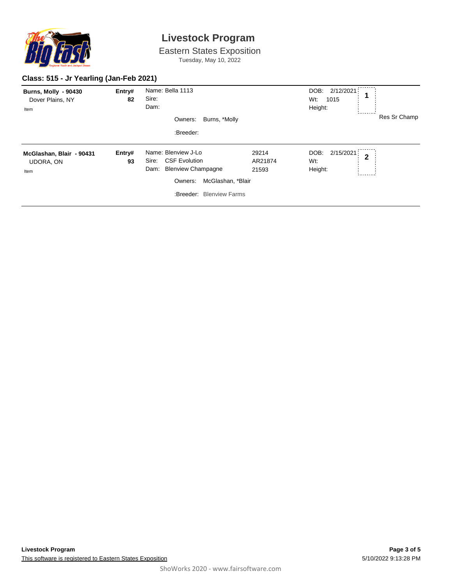

Eastern States Exposition Tuesday, May 10, 2022

#### **Class: 515 - Jr Yearling (Jan-Feb 2021)**

| <b>Burns, Molly - 90430</b><br>Dover Plains, NY<br>Item | Entry#<br>82 | Name: Bella 1113<br>Sire:<br>Dam:<br>Burns, *Molly<br>Owners:<br>:Breeder:                                                                            |                           | DOB: 2/12/2021<br>Wt:<br>1015<br>Height: | Res Sr Champ   |
|---------------------------------------------------------|--------------|-------------------------------------------------------------------------------------------------------------------------------------------------------|---------------------------|------------------------------------------|----------------|
| McGlashan, Blair - 90431<br><b>UDORA, ON</b><br>Item    | Entry#<br>93 | Name: Blenview J-Lo<br><b>CSF Evolution</b><br>Sire:<br><b>Blenview Champagne</b><br>Dam:<br>McGlashan, *Blair<br>Owners:<br>:Breeder: Blenview Farms | 29214<br>AR21874<br>21593 | 2/15/2021<br>DOB:<br>Wt:<br>Height:      | $\overline{2}$ |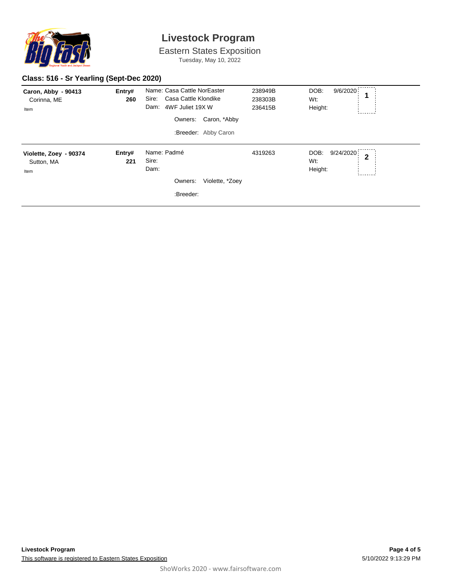

Eastern States Exposition Tuesday, May 10, 2022

#### **Class: 516 - Sr Yearling (Sept-Dec 2020)**

| Caron, Abby - 90413<br>Corinna, ME<br>Item   | Entry#<br>260 | Name: Casa Cattle NorEaster<br>Sire:<br>Casa Cattle Klondike<br>Dam:<br>4WF Juliet 19X W<br>Caron, *Abby<br>Owners:<br>:Breeder: Abby Caron | 238949B<br>238303B<br>236415B | DOB:<br>9/6/2020<br>Wt:<br>Height:       |
|----------------------------------------------|---------------|---------------------------------------------------------------------------------------------------------------------------------------------|-------------------------------|------------------------------------------|
| Violette, Zoey - 90374<br>Sutton, MA<br>Item | Entry#<br>221 | Name: Padmé<br>Sire:<br>Dam:<br>Owners:<br>Violette, *Zoey<br>:Breeder:                                                                     | 4319263                       | DOB:<br>9/24/2020<br>2<br>Wt:<br>Height: |